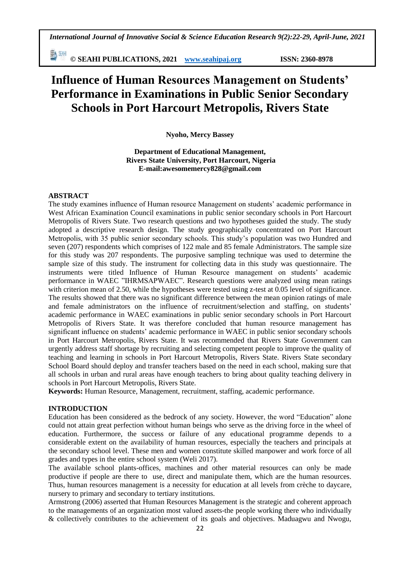**© SEAHI PUBLICATIONS, 2021 [www.seahipaj.org](http://www.seahipaj.org/) ISSN: 2360-8978**

# **Influence of Human Resources Management on Students' Performance in Examinations in Public Senior Secondary Schools in Port Harcourt Metropolis, Rivers State**

**Nyoho, Mercy Bassey**

**Department of Educational Management, Rivers State University, Port Harcourt, Nigeria E-mail:awesomemercy828@gmail.com**

#### **ABSTRACT**

The study examines influence of Human resource Management on students" academic performance in West African Examination Council examinations in public senior secondary schools in Port Harcourt Metropolis of Rivers State. Two research questions and two hypotheses guided the study. The study adopted a descriptive research design. The study geographically concentrated on Port Harcourt Metropolis, with 35 public senior secondary schools. This study"s population was two Hundred and seven (207) respondents which comprises of 122 male and 85 female Administrators. The sample size for this study was 207 respondents. The purposive sampling technique was used to determine the sample size of this study. The instrument for collecting data in this study was questionnaire. The instruments were titled Influence of Human Resource management on students' academic performance in WAEC "IHRMSAPWAEC". Research questions were analyzed using mean ratings with criterion mean of 2.50, while the hypotheses were tested using z-test at 0.05 level of significance. The results showed that there was no significant difference between the mean opinion ratings of male and female administrators on the influence of recruitment/selection and staffing, on students' academic performance in WAEC examinations in public senior secondary schools in Port Harcourt Metropolis of Rivers State. It was therefore concluded that human resource management has significant influence on students' academic performance in WAEC in public senior secondary schools in Port Harcourt Metropolis, Rivers State. It was recommended that Rivers State Government can urgently address staff shortage by recruiting and selecting competent people to improve the quality of teaching and learning in schools in Port Harcourt Metropolis, Rivers State. Rivers State secondary School Board should deploy and transfer teachers based on the need in each school, making sure that all schools in urban and rural areas have enough teachers to bring about quality teaching delivery in schools in Port Harcourt Metropolis, Rivers State.

**Keywords:** Human Resource, Management, recruitment, staffing, academic performance.

#### **INTRODUCTION**

Education has been considered as the bedrock of any society. However, the word "Education" alone could not attain great perfection without human beings who serve as the driving force in the wheel of education. Furthermore, the success or failure of any educational programme depends to a considerable extent on the availability of human resources, especially the teachers and principals at the secondary school level. These men and women constitute skilled manpower and work force of all grades and types in the entire school system (Weli 2017).

The available school plants-offices, machines and other material resources can only be made productive if people are there to use, direct and manipulate them, which are the human resources. Thus, human resources management is a necessity for education at all levels from crèche to daycare, nursery to primary and secondary to tertiary institutions.

Armstrong (2006) asserted that Human Resources Management is the strategic and coherent approach to the managements of an organization most valued assets-the people working there who individually & collectively contributes to the achievement of its goals and objectives. Maduagwu and Nwogu,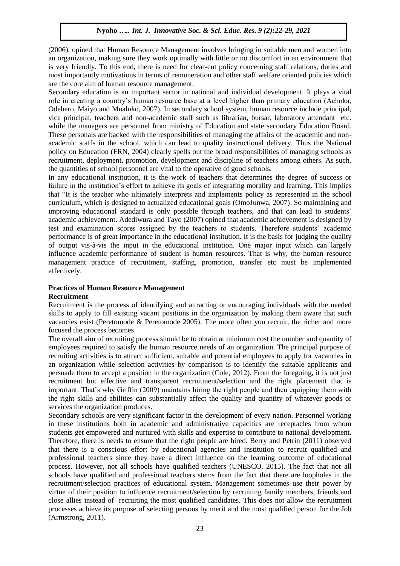(2006), opined that Human Resource Management involves bringing in suitable men and women into an organization, making sure they work optimally with little or no discomfort in an environment that is very friendly. To this end, there is need for clear-cut policy concerning staff relations, duties and most importantly motivations in terms of remuneration and other staff welfare oriented policies which are the core aim of human resource management.

Secondary education is an important sector in national and individual development. It plays a vital role in creating a country"s human resource base at a level higher than primary education (Achoka, Odebero, Maiyo and Mualuko, 2007). In secondary school system, human resource include principal, vice principal, teachers and non-academic staff such as librarian, bursar, laboratory attendant etc. while the managers are personnel from ministry of Education and state secondary Education Board. These personals are backed with the responsibilities of managing the affairs of the academic and nonacademic staffs in the school, which can lead to quality instructional delivery. Thus the National policy on Education (FRN, 2004) clearly spells out the broad responsibilities of managing schools as recruitment, deployment, promotion, development and discipline of teachers among others. As such, the quantities of school personnel are vital to the operative of good schools.

In any educational institution, it is the work of teachers that determines the degree of success or failure in the institution's effort to achieve its goals of integrating morality and learning. This implies that "It is the teacher who ultimately interprets and implements policy as represented in the school curriculum, which is designed to actualized educational goals (OmoJunwa, 2007). So maintaining and improving educational standard is only possible through teachers, and that can lead to students' academic achievement. Adediwura and Tayo (2007) opined that academic achievement is designed by test and examination scores assigned by the teachers to students. Therefore students" academic performance is of great importance in the educational institution. It is the basis for judging the quality of output vis-à-vis the input in the educational institution. One major input which can largely influence academic performance of student is human resources. That is why, the human resource management practice of recruitment, staffing, promotion, transfer etc must be implemented effectively.

# **Practices of Human Resource Management**

#### **Recruitment**

Recruitment is the process of identifying and attracting or encouraging individuals with the needed skills to apply to fill existing vacant positions in the organization by making them aware that such vacancies exist (Peretomode & Peretomode 2005). The more often you recruit, the richer and more focused the process becomes.

The overall aim of recruiting process should be to obtain at minimum cost the number and quantity of employees required to satisfy the human resource needs of an organization. The principal purpose of recruiting activities is to attract sufficient, suitable and potential employees to apply for vacancies in an organization while selection activities by comparison is to identify the suitable applicants and persuade them to accept a position in the organization (Cole, 2012). From the foregoing, it is not just recruitment but effective and transparent recruitment/selection and the right placement that is important. That's why Griffin (2009) maintains hiring the right people and then equipping them with the right skills and abilities can substantially affect the quality and quantity of whatever goods or services the organization produces.

Secondary schools are very significant factor in the development of every nation. Personnel working in these institutions both in academic and administrative capacities are receptacles from whom students get empowered and nurtured with skills and expertise to contribute to national development. Therefore, there is needs to ensure that the right people are hired. Berry and Petrin (2011) observed that there is a conscious effort by educational agencies and institution to recruit qualified and professional teachers since they have a direct influence on the learning outcome of educational process. However, not all schools have qualified teachers (UNESCO, 2015). The fact that not all schools have qualified and professional teachers stems from the fact that there are loopholes in the recruitment/selection practices of educational system. Management sometimes use their power by virtue of their position to influence recruitment/selection by recruiting family members, friends and close allies instead of recruiting the most qualified candidates. This does not allow the recruitment processes achieve its purpose of selecting persons by merit and the most qualified person for the Job (Armstrong, 2011).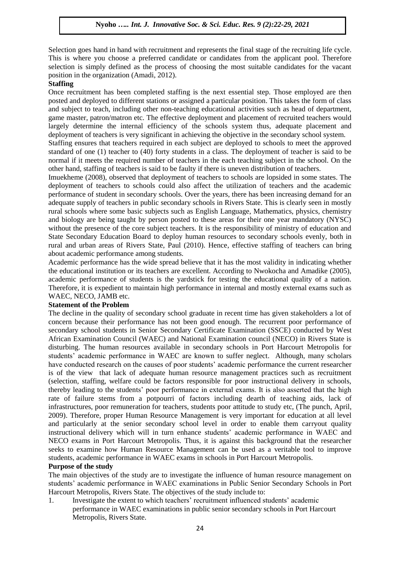Selection goes hand in hand with recruitment and represents the final stage of the recruiting life cycle. This is where you choose a preferred candidate or candidates from the applicant pool. Therefore selection is simply defined as the process of choosing the most suitable candidates for the vacant position in the organization (Amadi, 2012).

# **Staffing**

Once recruitment has been completed staffing is the next essential step. Those employed are then posted and deployed to different stations or assigned a particular position. This takes the form of class and subject to teach, including other non-teaching educational activities such as head of department, game master, patron/matron etc. The effective deployment and placement of recruited teachers would largely determine the internal efficiency of the schools system thus, adequate placement and deployment of teachers is very significant in achieving the objective in the secondary school system.

Staffing ensures that teachers required in each subject are deployed to schools to meet the approved standard of one (1) teacher to (40) forty students in a class. The deployment of teacher is said to be normal if it meets the required number of teachers in the each teaching subject in the school. On the other hand, staffing of teachers is said to be faulty if there is uneven distribution of teachers.

Imuekheme (2008), observed that deployment of teachers to schools are lopsided in some states. The deployment of teachers to schools could also affect the utilization of teachers and the academic performance of student in secondary schools. Over the years, there has been increasing demand for an adequate supply of teachers in public secondary schools in Rivers State. This is clearly seen in mostly rural schools where some basic subjects such as English Language, Mathematics, physics, chemistry and biology are being taught by person posted to these areas for their one year mandatory (NYSC) without the presence of the core subject teachers. It is the responsibility of ministry of education and State Secondary Education Board to deploy human resources to secondary schools evenly, both in rural and urban areas of Rivers State, Paul (2010). Hence, effective staffing of teachers can bring about academic performance among students.

Academic performance has the wide spread believe that it has the most validity in indicating whether the educational institution or its teachers are excellent. According to Nwokocha and Amadike (2005), academic performance of students is the yardstick for testing the educational quality of a nation. Therefore, it is expedient to maintain high performance in internal and mostly external exams such as WAEC, NECO, JAMB etc.

#### **Statement of the Problem**

The decline in the quality of secondary school graduate in recent time has given stakeholders a lot of concern because their performance has not been good enough. The recurrent poor performance of secondary school students in Senior Secondary Certificate Examination (SSCE) conducted by West African Examination Council (WAEC) and National Examination council (NECO) in Rivers State is disturbing. The human resources available in secondary schools in Port Harcourt Metropolis for students" academic performance in WAEC are known to suffer neglect. Although, many scholars have conducted research on the causes of poor students' academic performance the current researcher is of the view that lack of adequate human resource management practices such as recruitment (selection, staffing, welfare could be factors responsible for poor instructional delivery in schools, thereby leading to the students" poor performance in external exams. It is also asserted that the high rate of failure stems from a potpourri of factors including dearth of teaching aids, lack of infrastructures, poor remuneration for teachers, students poor attitude to study etc, (The punch, April, 2009). Therefore, proper Human Resource Management is very important for education at all level and particularly at the senior secondary school level in order to enable them carryout quality instructional delivery which will in turn enhance students" academic performance in WAEC and NECO exams in Port Harcourt Metropolis. Thus, it is against this background that the researcher seeks to examine how Human Resource Management can be used as a veritable tool to improve students, academic performance in WAEC exams in schools in Port Harcourt Metropolis.

#### **Purpose of the study**

The main objectives of the study are to investigate the influence of human resource management on students" academic performance in WAEC examinations in Public Senior Secondary Schools in Port Harcourt Metropolis, Rivers State. The objectives of the study include to:

1. Investigate the extent to which teachers" recruitment influenced students" academic performance in WAEC examinations in public senior secondary schools in Port Harcourt Metropolis, Rivers State.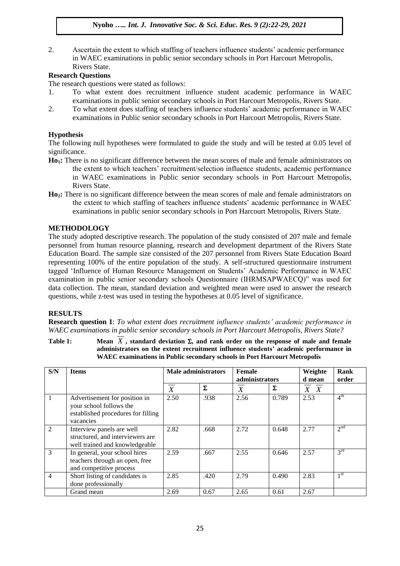2. Ascertain the extent to which staffing of teachers influence students" academic performance in WAEC examinations in public senior secondary schools in Port Harcourt Metropolis, Rivers State.

# **Research Questions**

The research questions were stated as follows:

- 1. To what extent does recruitment influence student academic performance in WAEC examinations in public senior secondary schools in Port Harcourt Metropolis, Rivers State.
- 2. To what extent does staffing of teachers influence students" academic performance in WAEC examinations in Public senior secondary schools in Port Harcourt Metropolis, Rivers State.

# **Hypothesis**

The following null hypotheses were formulated to guide the study and will be tested at 0.05 level of significance.

- **Ho1:** There is no significant difference between the mean scores of male and female administrators on the extent to which teachers" recruitment/selection influence students, academic performance in WAEC examinations in Public senior secondary schools in Port Harcourt Metropolis, Rivers State.
- **Ho2:** There is no significant difference between the mean scores of male and female administrators on the extent to which staffing of teachers influence students" academic performance in WAEC examinations in public senior secondary schools in Port Harcourt Metropolis, Rivers State.

# **METHODOLOGY**

The study adopted descriptive research. The population of the study consisted of 207 male and female personnel from human resource planning, research and development department of the Rivers State Education Board. The sample size consisted of the 207 personnel from Rivers State Education Board representing 100% of the entire population of the study. A self-structured questionnaire instrument tagged "Influence of Human Resource Management on Students" Academic Performance in WAEC examination in public senior secondary schools Questionnaire (IHRMSAPWAECQ)" was used for data collection. The mean, standard deviation and weighted mean were used to answer the research questions, while z-test was used in testing the hypotheses at 0.05 level of significance.

#### **RESULTS**

**Research question 1**: *To what extent does recruitment influence students' academic performance in WAEC examinations in public senior secondary schools in Port Harcourt Metropolis, Rivers State?*

**Table 1:** *X* **, standard deviation , and rank order on the response of male and female administrators on the extent recruitment influence students' academic performance in WAEC examinations in Public secondary schools in Port Harcourt Metropolis**

| S/N | <b>Items</b>                                                                                                | Male administrators |      | Female<br>administrators |       | Weighte<br>d mean | Rank<br>order   |
|-----|-------------------------------------------------------------------------------------------------------------|---------------------|------|--------------------------|-------|-------------------|-----------------|
|     |                                                                                                             | $\overline{X}$      | Σ    | $\boldsymbol{X}$         | Σ     | $X \ X$           |                 |
|     | Advertisement for position in<br>your school follows the<br>established procedures for filling<br>vacancies | 2.50                | .938 | 2.56                     | 0.789 | 2.53              | 4 <sup>th</sup> |
| 2   | Interview panels are well<br>structured, and interviewers are<br>well trained and knowledgeable             | 2.82                | .668 | 2.72                     | 0.648 | 2.77              | 2 <sup>nd</sup> |
| 3   | In general, your school hires<br>teachers through an open, free<br>and competitive process                  | 2.59                | .667 | 2.55                     | 0.646 | 2.57              | 3 <sup>rd</sup> |
| 4   | Short listing of candidates is<br>done professionally                                                       | 2.85                | .420 | 2.79                     | 0.490 | 2.83              | 1 <sup>st</sup> |
|     | Grand mean                                                                                                  | 2.69                | 0.67 | 2.65                     | 0.61  | 2.67              |                 |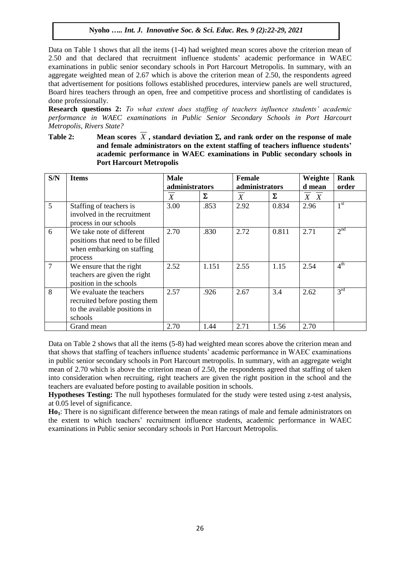Data on Table 1 shows that all the items (1-4) had weighted mean scores above the criterion mean of 2.50 and that declared that recruitment influence students" academic performance in WAEC examinations in public senior secondary schools in Port Harcourt Metropolis. In summary, with an aggregate weighted mean of 2.67 which is above the criterion mean of 2.50, the respondents agreed that advertisement for positions follows established procedures, interview panels are well structured, Board hires teachers through an open, free and competitive process and shortlisting of candidates is done professionally.

**Research questions 2:** *To what extent does staffing of teachers influence students' academic performance in WAEC examinations in Public Senior Secondary Schools in Port Harcourt Metropolis, Rivers State?*

Table 2: Mean scores  $X$ , standard deviation  $\Sigma$ , and rank order on the response of male **and female administrators on the extent staffing of teachers influence students' academic performance in WAEC examinations in Public secondary schools in Port Harcourt Metropolis**

| S/N | <b>Items</b>                                                                                           | <b>Male</b>    |       | <b>Female</b>    |       | Weighte | Rank            |
|-----|--------------------------------------------------------------------------------------------------------|----------------|-------|------------------|-------|---------|-----------------|
|     |                                                                                                        | administrators |       | administrators   |       | d mean  | order           |
|     |                                                                                                        | X              | Σ     | $\boldsymbol{X}$ | Σ     | $X \ X$ |                 |
| 5   | Staffing of teachers is<br>involved in the recruitment<br>process in our schools                       | 3.00           | .853  | 2.92             | 0.834 | 2.96    | 1 <sup>st</sup> |
| 6   | We take note of different<br>positions that need to be filled<br>when embarking on staffing<br>process | 2.70           | .830  | 2.72             | 0.811 | 2.71    | 2 <sup>nd</sup> |
| 7   | We ensure that the right<br>teachers are given the right<br>position in the schools                    | 2.52           | 1.151 | 2.55             | 1.15  | 2.54    | 4 <sup>th</sup> |
| 8   | We evaluate the teachers<br>recruited before posting them<br>to the available positions in<br>schools  | 2.57           | .926  | 2.67             | 3.4   | 2.62    | $3^{rd}$        |
|     | Grand mean                                                                                             | 2.70           | 1.44  | 2.71             | 1.56  | 2.70    |                 |

Data on Table 2 shows that all the items (5-8) had weighted mean scores above the criterion mean and that shows that staffing of teachers influence students" academic performance in WAEC examinations in public senior secondary schools in Port Harcourt metropolis. In summary, with an aggregate weight mean of 2.70 which is above the criterion mean of 2.50, the respondents agreed that staffing of taken into consideration when recruiting, right teachers are given the right position in the school and the teachers are evaluated before posting to available position in schools.

**Hypotheses Testing:** The null hypotheses formulated for the study were tested using z-test analysis, at 0.05 level of significance.

**Ho1**: There is no significant difference between the mean ratings of male and female administrators on the extent to which teachers" recruitment influence students, academic performance in WAEC examinations in Public senior secondary schools in Port Harcourt Metropolis.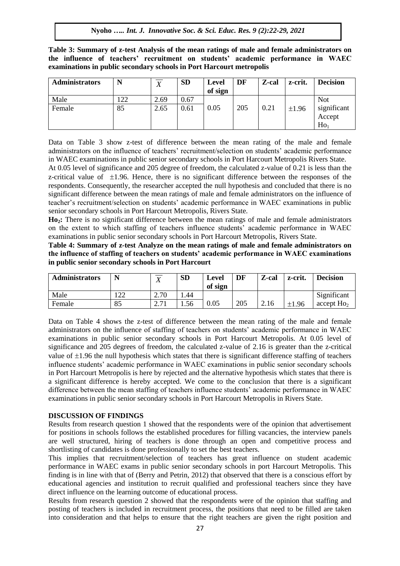**Table 3: Summary of z-test Analysis of the mean ratings of male and female administrators on the influence of teachers' recruitment on students' academic performance in WAEC examinations in public secondary schools in Port Harcourt metropolis**

| <b>Administrators</b> | N   | $\mathbf{v}$<br>$\Lambda$ | <b>SD</b> | Level<br>of sign | DF  | Z-cal | z-crit. | <b>Decision</b>                          |
|-----------------------|-----|---------------------------|-----------|------------------|-----|-------|---------|------------------------------------------|
| Male                  | .22 | 2.69                      | 0.67      |                  |     |       |         | <b>Not</b>                               |
| Female                | 85  | 2.65                      | 0.61      | 0.05             | 205 | 0.21  | ±1.96   | significant<br>Accept<br>Ho <sub>1</sub> |

Data on Table 3 show z-test of difference between the mean rating of the male and female administrators on the influence of teachers' recruitment/selection on students' academic performance in WAEC examinations in public senior secondary schools in Port Harcourt Metropolis Rivers State.

At 0.05 level of significance and 205 degree of freedom, the calculated z-value of 0.21 is less than the z-critical value of  $\pm 1.96$ . Hence, there is no significant difference between the responses of the respondents. Consequently, the researcher accepted the null hypothesis and concluded that there is no significant difference between the mean ratings of male and female administrators on the influence of teacher"s recruitment/selection on students" academic performance in WAEC examinations in public senior secondary schools in Port Harcourt Metropolis, Rivers State.

**Ho2:** There is no significant difference between the mean ratings of male and female administrators on the extent to which staffing of teachers influence students" academic performance in WAEC examinations in public senior secondary schools in Port Harcourt Metropolis, Rivers State.

**Table 4: Summary of z-test Analyze on the mean ratings of male and female administrators on the influence of staffing of teachers on students' academic performance in WAEC examinations in public senior secondary schools in Port Harcourt**

| <b>Administrators</b> | N              | ᠊ᡳᡔ<br>Δ                | <b>SD</b> | Level<br>of sign | DF  | Z-cal | z-crit.    | <b>Decision</b>        |
|-----------------------|----------------|-------------------------|-----------|------------------|-----|-------|------------|------------------------|
| Male                  | $\cap$<br>ے بے | 2.70                    | .44       |                  |     |       |            | Significant            |
| Female                | 85             | $\sim$ $\sim$ 1<br>4. L | 1.56      | 0.05             | 205 | 2.16  | $\pm 1.96$ | accept Ho <sub>2</sub> |

Data on Table 4 shows the z-test of difference between the mean rating of the male and female administrators on the influence of staffing of teachers on students" academic performance in WAEC examinations in public senior secondary schools in Port Harcourt Metropolis. At 0.05 level of significance and 205 degrees of freedom, the calculated z-value of 2.16 is greater than the z-critical value of  $\pm 1.96$  the null hypothesis which states that there is significant difference staffing of teachers influence students" academic performance in WAEC examinations in public senior secondary schools in Port Harcourt Metropolis is here by rejected and the alternative hypothesis which states that there is a significant difference is hereby accepted. We come to the conclusion that there is a significant difference between the mean staffing of teachers influence students' academic performance in WAEC examinations in public senior secondary schools in Port Harcourt Metropolis in Rivers State.

#### **DISCUSSION OF FINDINGS**

Results from research question 1 showed that the respondents were of the opinion that advertisement for positions in schools follows the established procedures for filling vacancies, the interview panels are well structured, hiring of teachers is done through an open and competitive process and shortlisting of candidates is done professionally to set the best teachers.

This implies that recruitment/selection of teachers has great influence on student academic performance in WAEC exams in public senior secondary schools in port Harcourt Metropolis. This finding is in line with that of (Berry and Petrin, 2012) that observed that there is a conscious effort by educational agencies and institution to recruit qualified and professional teachers since they have direct influence on the learning outcome of educational process.

Results from research question 2 showed that the respondents were of the opinion that staffing and posting of teachers is included in recruitment process, the positions that need to be filled are taken into consideration and that helps to ensure that the right teachers are given the right position and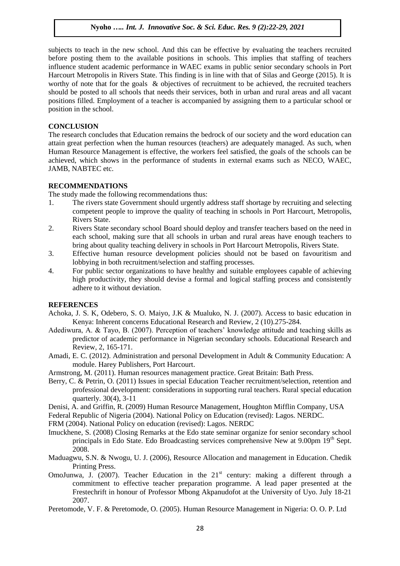subjects to teach in the new school. And this can be effective by evaluating the teachers recruited before posting them to the available positions in schools. This implies that staffing of teachers influence student academic performance in WAEC exams in public senior secondary schools in Port Harcourt Metropolis in Rivers State. This finding is in line with that of Silas and George (2015). It is worthy of note that for the goals & objectives of recruitment to be achieved, the recruited teachers should be posted to all schools that needs their services, both in urban and rural areas and all vacant positions filled. Employment of a teacher is accompanied by assigning them to a particular school or position in the school.

# **CONCLUSION**

The research concludes that Education remains the bedrock of our society and the word education can attain great perfection when the human resources (teachers) are adequately managed. As such, when Human Resource Management is effective, the workers feel satisfied, the goals of the schools can be achieved, which shows in the performance of students in external exams such as NECO, WAEC, JAMB, NABTEC etc.

# **RECOMMENDATIONS**

The study made the following recommendations thus:

- 1. The rivers state Government should urgently address staff shortage by recruiting and selecting competent people to improve the quality of teaching in schools in Port Harcourt, Metropolis, Rivers State.
- 2. Rivers State secondary school Board should deploy and transfer teachers based on the need in each school, making sure that all schools in urban and rural areas have enough teachers to bring about quality teaching delivery in schools in Port Harcourt Metropolis, Rivers State.
- 3. Effective human resource development policies should not be based on favouritism and lobbying in both recruitment/selection and staffing processes.
- 4. For public sector organizations to have healthy and suitable employees capable of achieving high productivity, they should devise a formal and logical staffing process and consistently adhere to it without deviation.

#### **REFERENCES**

- Achoka, J. S. K, Odebero, S. O. Maiyo, J.K & Mualuko, N. J. (2007). Access to basic education in Kenya: Inherent concerns Educational Research and Review, 2 (10).275-284.
- Adediwura, A. & Tayo, B. (2007). Perception of teachers' knowledge attitude and teaching skills as predictor of academic performance in Nigerian secondary schools. Educational Research and Review, 2, 165-171.
- Amadi, E. C. (2012). Administration and personal Development in Adult & Community Education: A module. Harey Publishers, Port Harcourt.
- Armstrong, M. (2011). Human resources management practice. Great Britain: Bath Press.
- Berry, C. & Petrin, O. (2011) Issues in special Education Teacher recruitment/selection, retention and professional development: considerations in supporting rural teachers. Rural special education quarterly. 30(4), 3-11
- Denisi, A. and Griffin, R. (2009) Human Resource Management, Houghton Mifflin Company, USA
- Federal Republic of Nigeria (2004). National Policy on Education (revised): Lagos. NERDC.

FRM (2004). National Policy on education (revised): Lagos. NERDC

- Imuckhene, S. (2008) Closing Remarks at the Edo state seminar organize for senior secondary school principals in Edo State. Edo Broadcasting services comprehensive New at 9.00pm 19<sup>th</sup> Sept. 2008.
- Maduagwu, S.N. & Nwogu, U. J. (2006), Resource Allocation and management in Education. Chedik Printing Press.
- OmoJunwa, J. (2007). Teacher Education in the  $21<sup>st</sup>$  century: making a different through a commitment to effective teacher preparation programme. A lead paper presented at the Frestechrift in honour of Professor Mbong Akpanudofot at the University of Uyo. July 18-21 2007.
- Peretomode, V. F. & Peretomode, O. (2005). Human Resource Management in Nigeria: O. O. P. Ltd